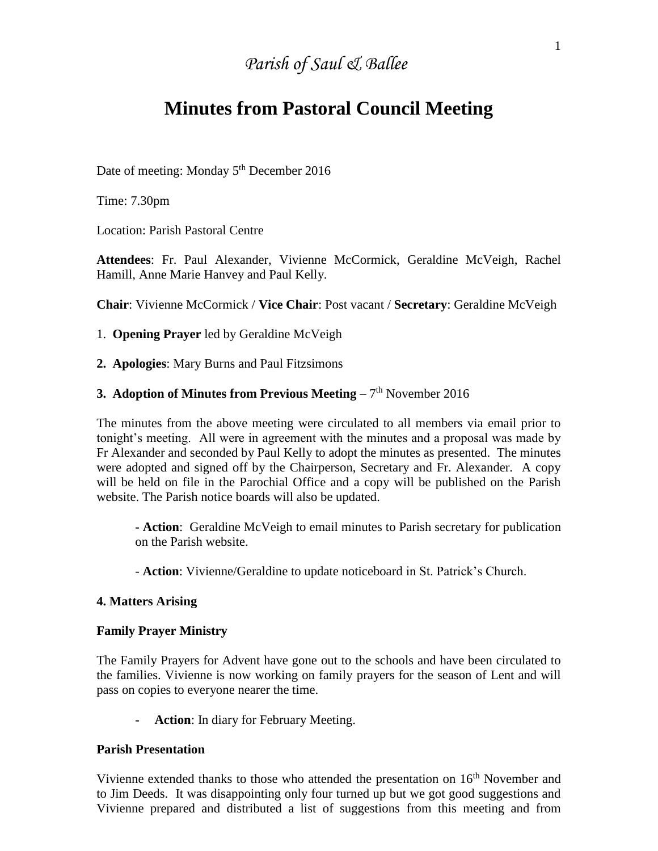# *Parish of Saul & Ballee*

## **Minutes from Pastoral Council Meeting**

Date of meeting: Monday 5<sup>th</sup> December 2016

Time: 7.30pm

Location: Parish Pastoral Centre

**Attendees**: Fr. Paul Alexander, Vivienne McCormick, Geraldine McVeigh, Rachel Hamill, Anne Marie Hanvey and Paul Kelly.

**Chair**: Vivienne McCormick / **Vice Chair**: Post vacant / **Secretary**: Geraldine McVeigh

1. **Opening Prayer** led by Geraldine McVeigh

**2. Apologies**: Mary Burns and Paul Fitzsimons

#### **3. Adoption of Minutes from Previous Meeting** – 7<sup>th</sup> November 2016

The minutes from the above meeting were circulated to all members via email prior to tonight's meeting. All were in agreement with the minutes and a proposal was made by Fr Alexander and seconded by Paul Kelly to adopt the minutes as presented. The minutes were adopted and signed off by the Chairperson, Secretary and Fr. Alexander. A copy will be held on file in the Parochial Office and a copy will be published on the Parish website. The Parish notice boards will also be updated.

**- Action**: Geraldine McVeigh to email minutes to Parish secretary for publication on the Parish website.

- **Action**: Vivienne/Geraldine to update noticeboard in St. Patrick's Church.

#### **4. Matters Arising**

#### **Family Prayer Ministry**

The Family Prayers for Advent have gone out to the schools and have been circulated to the families. Vivienne is now working on family prayers for the season of Lent and will pass on copies to everyone nearer the time.

**- Action**: In diary for February Meeting.

#### **Parish Presentation**

Vivienne extended thanks to those who attended the presentation on 16<sup>th</sup> November and to Jim Deeds. It was disappointing only four turned up but we got good suggestions and Vivienne prepared and distributed a list of suggestions from this meeting and from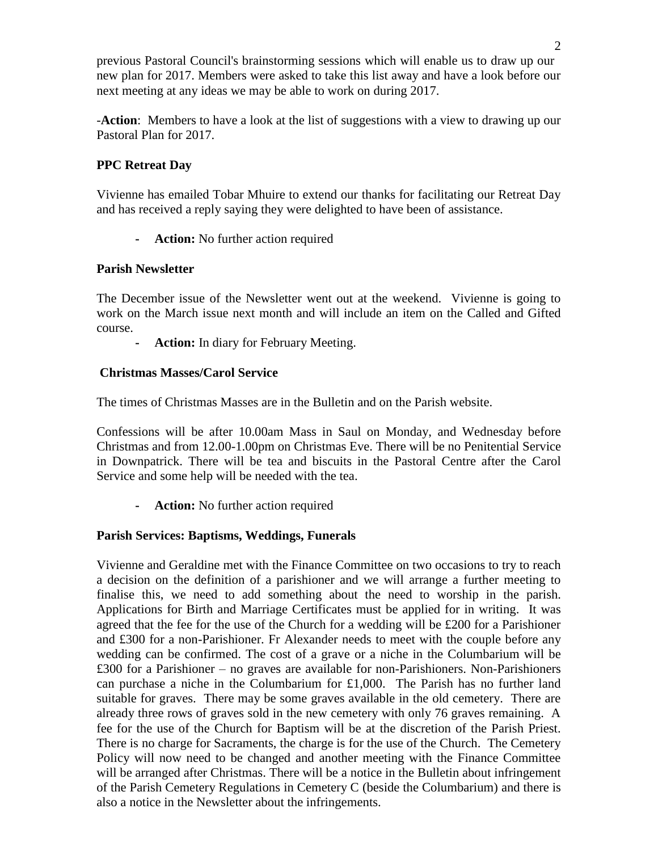previous Pastoral Council's brainstorming sessions which will enable us to draw up our new plan for 2017. Members were asked to take this list away and have a look before our next meeting at any ideas we may be able to work on during 2017.

-**Action**: Members to have a look at the list of suggestions with a view to drawing up our Pastoral Plan for 2017.

## **PPC Retreat Day**

Vivienne has emailed Tobar Mhuire to extend our thanks for facilitating our Retreat Day and has received a reply saying they were delighted to have been of assistance.

**- Action:** No further action required

## **Parish Newsletter**

The December issue of the Newsletter went out at the weekend. Vivienne is going to work on the March issue next month and will include an item on the Called and Gifted course.

**- Action:** In diary for February Meeting.

## **Christmas Masses/Carol Service**

The times of Christmas Masses are in the Bulletin and on the Parish website.

Confessions will be after 10.00am Mass in Saul on Monday, and Wednesday before Christmas and from 12.00-1.00pm on Christmas Eve. There will be no Penitential Service in Downpatrick. There will be tea and biscuits in the Pastoral Centre after the Carol Service and some help will be needed with the tea.

**- Action:** No further action required

## **Parish Services: Baptisms, Weddings, Funerals**

Vivienne and Geraldine met with the Finance Committee on two occasions to try to reach a decision on the definition of a parishioner and we will arrange a further meeting to finalise this, we need to add something about the need to worship in the parish. Applications for Birth and Marriage Certificates must be applied for in writing. It was agreed that the fee for the use of the Church for a wedding will be £200 for a Parishioner and £300 for a non-Parishioner. Fr Alexander needs to meet with the couple before any wedding can be confirmed. The cost of a grave or a niche in the Columbarium will be £300 for a Parishioner – no graves are available for non-Parishioners. Non-Parishioners can purchase a niche in the Columbarium for  $£1,000$ . The Parish has no further land suitable for graves. There may be some graves available in the old cemetery. There are already three rows of graves sold in the new cemetery with only 76 graves remaining. A fee for the use of the Church for Baptism will be at the discretion of the Parish Priest. There is no charge for Sacraments, the charge is for the use of the Church. The Cemetery Policy will now need to be changed and another meeting with the Finance Committee will be arranged after Christmas. There will be a notice in the Bulletin about infringement of the Parish Cemetery Regulations in Cemetery C (beside the Columbarium) and there is also a notice in the Newsletter about the infringements.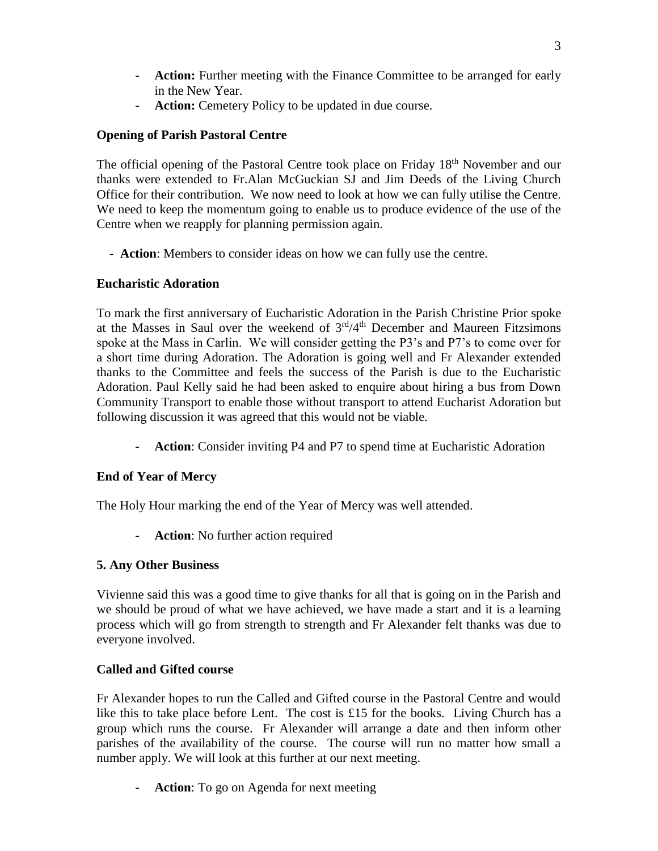- **- Action:** Further meeting with the Finance Committee to be arranged for early in the New Year.
- **- Action:** Cemetery Policy to be updated in due course.

## **Opening of Parish Pastoral Centre**

The official opening of the Pastoral Centre took place on Friday 18<sup>th</sup> November and our thanks were extended to Fr.Alan McGuckian SJ and Jim Deeds of the Living Church Office for their contribution. We now need to look at how we can fully utilise the Centre. We need to keep the momentum going to enable us to produce evidence of the use of the Centre when we reapply for planning permission again.

- **Action**: Members to consider ideas on how we can fully use the centre.

## **Eucharistic Adoration**

To mark the first anniversary of Eucharistic Adoration in the Parish Christine Prior spoke at the Masses in Saul over the weekend of  $3<sup>rd</sup>/4<sup>th</sup>$  December and Maureen Fitzsimons spoke at the Mass in Carlin. We will consider getting the P3's and P7's to come over for a short time during Adoration. The Adoration is going well and Fr Alexander extended thanks to the Committee and feels the success of the Parish is due to the Eucharistic Adoration. Paul Kelly said he had been asked to enquire about hiring a bus from Down Community Transport to enable those without transport to attend Eucharist Adoration but following discussion it was agreed that this would not be viable.

**- Action**: Consider inviting P4 and P7 to spend time at Eucharistic Adoration

## **End of Year of Mercy**

The Holy Hour marking the end of the Year of Mercy was well attended.

**- Action**: No further action required

## **5. Any Other Business**

Vivienne said this was a good time to give thanks for all that is going on in the Parish and we should be proud of what we have achieved, we have made a start and it is a learning process which will go from strength to strength and Fr Alexander felt thanks was due to everyone involved.

## **Called and Gifted course**

Fr Alexander hopes to run the Called and Gifted course in the Pastoral Centre and would like this to take place before Lent. The cost is £15 for the books. Living Church has a group which runs the course. Fr Alexander will arrange a date and then inform other parishes of the availability of the course. The course will run no matter how small a number apply. We will look at this further at our next meeting.

**- Action**: To go on Agenda for next meeting